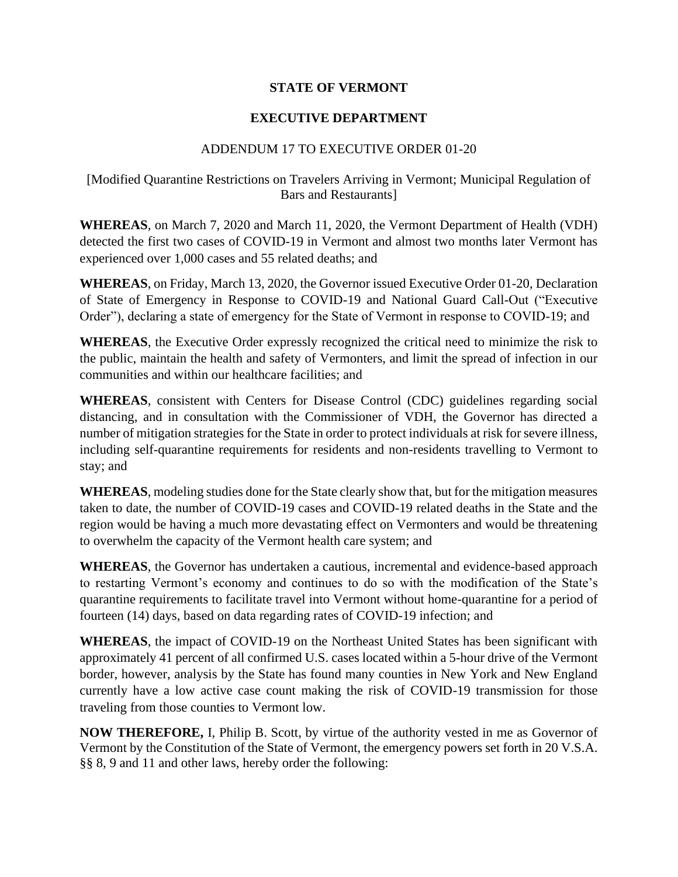## **STATE OF VERMONT**

## **EXECUTIVE DEPARTMENT**

## ADDENDUM 17 TO EXECUTIVE ORDER 01-20

## [Modified Quarantine Restrictions on Travelers Arriving in Vermont; Municipal Regulation of Bars and Restaurants]

**WHEREAS**, on March 7, 2020 and March 11, 2020, the Vermont Department of Health (VDH) detected the first two cases of COVID-19 in Vermont and almost two months later Vermont has experienced over 1,000 cases and 55 related deaths; and

**WHEREAS**, on Friday, March 13, 2020, the Governor issued Executive Order 01-20, Declaration of State of Emergency in Response to COVID-19 and National Guard Call-Out ("Executive Order"), declaring a state of emergency for the State of Vermont in response to COVID-19; and

**WHEREAS**, the Executive Order expressly recognized the critical need to minimize the risk to the public, maintain the health and safety of Vermonters, and limit the spread of infection in our communities and within our healthcare facilities; and

**WHEREAS**, consistent with Centers for Disease Control (CDC) guidelines regarding social distancing, and in consultation with the Commissioner of VDH, the Governor has directed a number of mitigation strategies for the State in order to protect individuals at risk for severe illness, including self-quarantine requirements for residents and non-residents travelling to Vermont to stay; and

**WHEREAS**, modeling studies done for the State clearly show that, but for the mitigation measures taken to date, the number of COVID-19 cases and COVID-19 related deaths in the State and the region would be having a much more devastating effect on Vermonters and would be threatening to overwhelm the capacity of the Vermont health care system; and

**WHEREAS**, the Governor has undertaken a cautious, incremental and evidence-based approach to restarting Vermont's economy and continues to do so with the modification of the State's quarantine requirements to facilitate travel into Vermont without home-quarantine for a period of fourteen (14) days, based on data regarding rates of COVID-19 infection; and

**WHEREAS**, the impact of COVID-19 on the Northeast United States has been significant with approximately 41 percent of all confirmed U.S. cases located within a 5-hour drive of the Vermont border, however, analysis by the State has found many counties in New York and New England currently have a low active case count making the risk of COVID-19 transmission for those traveling from those counties to Vermont low.

**NOW THEREFORE,** I, Philip B. Scott, by virtue of the authority vested in me as Governor of Vermont by the Constitution of the State of Vermont, the emergency powers set forth in 20 V.S.A. §§ 8, 9 and 11 and other laws, hereby order the following: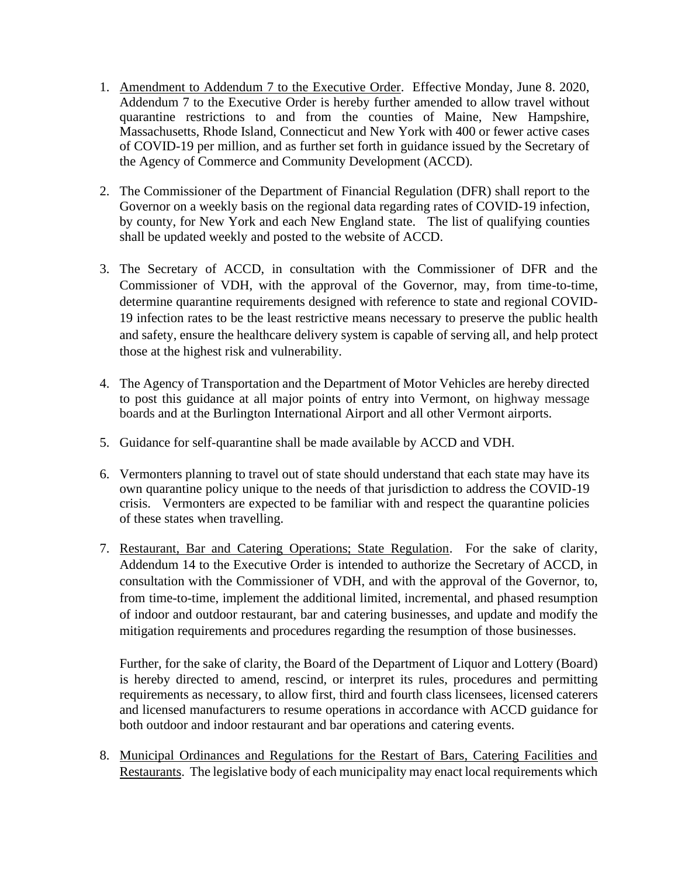- 1. Amendment to Addendum 7 to the Executive Order. Effective Monday, June 8. 2020, Addendum 7 to the Executive Order is hereby further amended to allow travel without quarantine restrictions to and from the counties of Maine, New Hampshire, Massachusetts, Rhode Island, Connecticut and New York with 400 or fewer active cases of COVID-19 per million, and as further set forth in guidance issued by the Secretary of the Agency of Commerce and Community Development (ACCD).
- 2. The Commissioner of the Department of Financial Regulation (DFR) shall report to the Governor on a weekly basis on the regional data regarding rates of COVID-19 infection, by county, for New York and each New England state. The list of qualifying counties shall be updated weekly and posted to the website of ACCD.
- 3. The Secretary of ACCD, in consultation with the Commissioner of DFR and the Commissioner of VDH, with the approval of the Governor, may, from time-to-time, determine quarantine requirements designed with reference to state and regional COVID-19 infection rates to be the least restrictive means necessary to preserve the public health and safety, ensure the healthcare delivery system is capable of serving all, and help protect those at the highest risk and vulnerability.
- 4. The Agency of Transportation and the Department of Motor Vehicles are hereby directed to post this guidance at all major points of entry into Vermont, on highway message boards and at the Burlington International Airport and all other Vermont airports.
- 5. Guidance for self-quarantine shall be made available by ACCD and VDH.
- 6. Vermonters planning to travel out of state should understand that each state may have its own quarantine policy unique to the needs of that jurisdiction to address the COVID-19 crisis. Vermonters are expected to be familiar with and respect the quarantine policies of these states when travelling.
- 7. Restaurant, Bar and Catering Operations; State Regulation. For the sake of clarity, Addendum 14 to the Executive Order is intended to authorize the Secretary of ACCD, in consultation with the Commissioner of VDH, and with the approval of the Governor, to, from time-to-time, implement the additional limited, incremental, and phased resumption of indoor and outdoor restaurant, bar and catering businesses, and update and modify the mitigation requirements and procedures regarding the resumption of those businesses.

Further, for the sake of clarity, the Board of the Department of Liquor and Lottery (Board) is hereby directed to amend, rescind, or interpret its rules, procedures and permitting requirements as necessary, to allow first, third and fourth class licensees, licensed caterers and licensed manufacturers to resume operations in accordance with ACCD guidance for both outdoor and indoor restaurant and bar operations and catering events.

8. Municipal Ordinances and Regulations for the Restart of Bars, Catering Facilities and Restaurants. The legislative body of each municipality may enact local requirements which